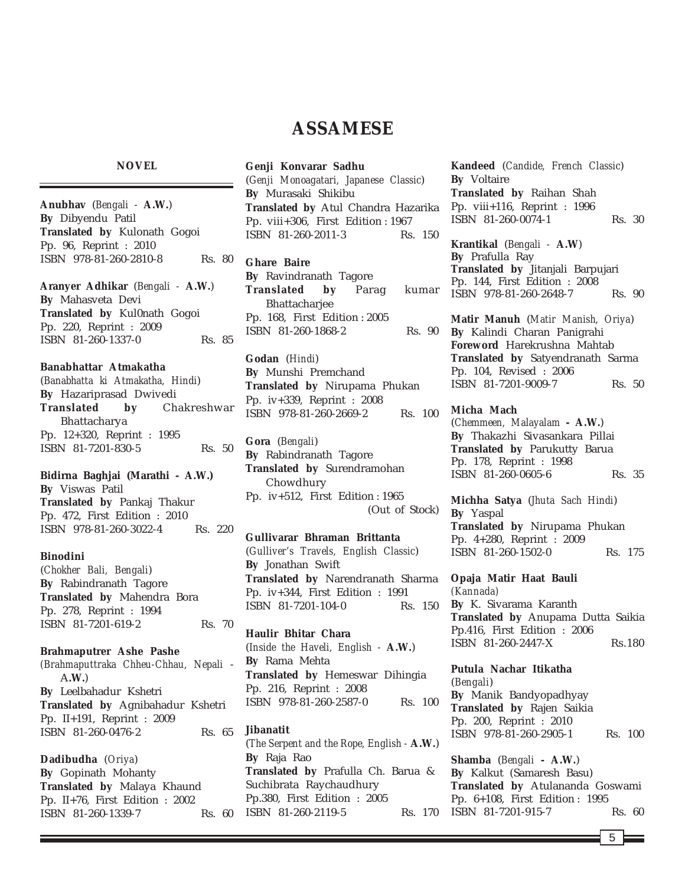# **ASSAMESE**

#### **NOVEL**

**Anubhav** (*Bengali -* **A.W.**) **By** Dibyendu Patil **Translated by** Kulonath Gogoi Pp. 96, Reprint : 2010 ISBN 978-81-260-2810-8 Rs. 80

**Aranyer Adhikar** (*Bengali -* **A.W.**) **By** Mahasveta Devi **Translated by** Kul0nath Gogoi Pp. 220, Reprint : 2009 ISBN 81-260-1337-0 Rs. 85

# **Banabhattar Atmakatha**

(*Banabhatta ki Atmakatha, Hindi*) **By** Hazariprasad Dwivedi **Translated by** Chakreshwar Bhattacharya Pp. 12+320, Reprint : 1995 ISBN 81-7201-830-5 Rs. 50

**Bidirna Baghjai (Marathi - A.W.) By** Viswas Patil **Translated by** Pankaj Thakur Pp. 472, First Edition : 2010 ISBN 978-81-260-3022-4 Rs. 220

#### **Binodini**

(*Chokher Bali, Bengali*) **By** Rabindranath Tagore **Translated by** Mahendra Bora Pp. 278, Reprint : 1994 ISBN 81-7201-619-2 Rs. 70

**Brahmaputrer Ashe Pashe**

*(Brahmaputtraka Chheu-Chhau, Nepali* - A**.W.**) **By** Leelbahadur Kshetri **Translated by** Agnibahadur Kshetri Pp. II+191, Reprint : 2009 ISBN 81-260-0476-2 Rs. 65

**Dadibudha** (*Oriya*) **By** Gopinath Mohanty **Translated by** Malaya Khaund Pp. II+76, First Edition : 2002 ISBN 81-260-1339-7 Rs. 60 **Genji Konvarar Sadhu** (*Genji Monoagatari, Japanese Classic*) **By** Murasaki Shikibu **Translated by** Atul Chandra Hazarika Pp. viii+306, First Edition : 1967 ISBN 81-260-2011-3 Rs. 150

**Ghare Baire By** Ravindranath Tagore **Translated by** Parag kumar **Bhattachariee** Pp. 168, First Edition : 2005

**Godan** (*Hindi*) **By** Munshi Premchand **Translated by** Nirupama Phukan Pp. iv+339, Reprint : 2008 ISBN 978-81-260-2669-2 Rs. 100

ISBN 81-260-1868-2 Rs. 90

**Gora** (*Bengali*) **By** Rabindranath Tagore **Translated by** Surendramohan Chowdhury Pp. iv+512, First Edition : 1965 (Out of Stock)

**Gullivarar Bhraman Brittanta** (*Gulliver's Travels, English Classic*) **By** Jonathan Swift **Translated by** Narendranath Sharma Pp. iv+344, First Edition : 1991 ISBN 81-7201-104-0 Rs. 150

**Haulir Bhitar Chara** (*Inside the Haveli, English -* **A.W.**) **By** Rama Mehta **Translated by** Hemeswar Dihingia Pp. 216, Reprint : 2008 ISBN 978-81-260-2587-0 Rs. 100

**Jibanatit** (*The Serpent and the Rope, English -* **A.W.**) **By** Raja Rao **Translated by** Prafulla Ch. Barua & Suchibrata Raychaudhury Pp.380, First Edition : 2005 ISBN 81-260-2119-5 Rs. 170 **Kandeed** (*Candide, French Classic*) **By** Voltaire **Translated by** Raihan Shah Pp. viii+116, Reprint : 1996 ISBN 81-260-0074-1 Rs. 30

**Krantikal** (*Bengali -* **A.W**) **By** Prafulla Ray **Translated by** Jitanjali Barpujari Pp. 144, First Edition : 2008 ISBN 978-81-260-2648-7 Rs. 90

**Matir Manuh** (*Matir Manish, Oriya*) **By** Kalindi Charan Panigrahi **Foreword** Harekrushna Mahtab **Translated by** Satyendranath Sarma Pp. 104, Revised : 2006 ISBN 81-7201-9009-7 Rs. 50

### **Micha Mach**

(*Chemmeen, Malayalam* **- A.W.**) **By** Thakazhi Sivasankara Pillai **Translated by** Parukutty Barua Pp. 178, Reprint : 1998 ISBN 81-260-0605-6 Rs. 35

**Michha Satya** (*Jhuta Sach Hindi*) **By** Yaspal **Translated by** Nirupama Phukan Pp. 4+280, Reprint : 2009 ISBN 81-260-1502-0 Rs. 175

**Opaja Matir Haat Bauli** *(Kannada)* **By** K. Sivarama Karanth **Translated by** Anupama Dutta Saikia Pp.416, First Edition : 2006 ISBN 81-260-2447-X Rs.180

**Putula Nachar Itikatha** (*Bengali*) **By** Manik Bandyopadhyay **Translated by** Rajen Saikia Pp. 200, Reprint : 2010 ISBN 978-81-260-2905-1 Rs. 100

**Shamba** (*Bengali* **- A.W.**) **By** Kalkut (Samaresh Basu) **Translated by** Atulananda Goswami Pp. 6+108, First Edition : 1995 ISBN 81-7201-915-7 Rs. 60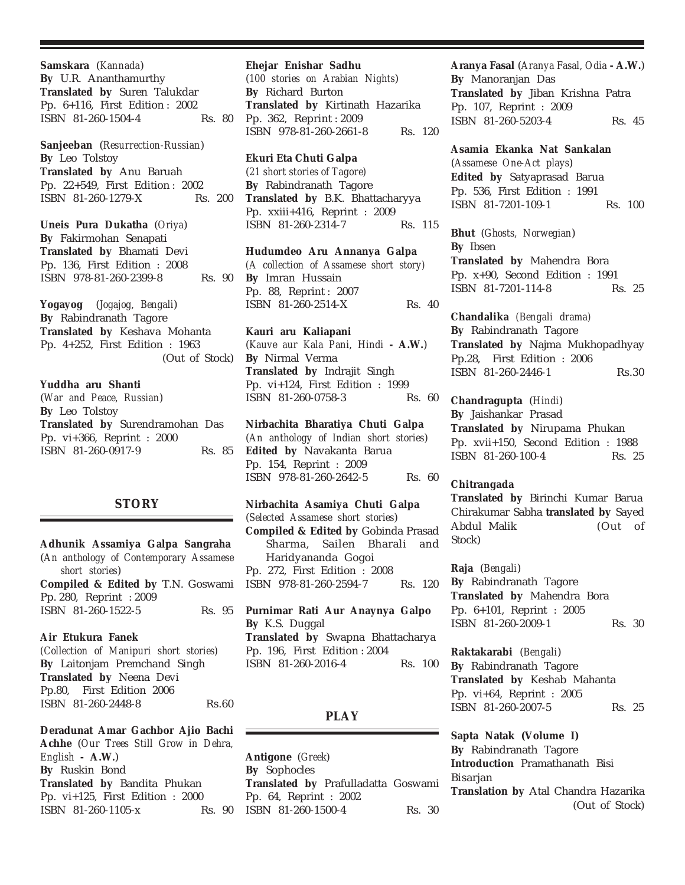**Samskara** (*Kannada*) **By** U.R. Ananthamurthy **Translated by** Suren Talukdar Pp. 6+116, First Edition : 2002 ISBN 81-260-1504-4 Rs. 80

**Sanjeeban** (*Resurrection-Russian*) **By** Leo Tolstoy **Translated by** Anu Baruah Pp. 22+549, First Edition : 2002 ISBN 81-260-1279-X Rs. 200

**Uneis Pura Dukatha** (*Oriya*) **By** Fakirmohan Senapati **Translated by** Bhamati Devi Pp. 136, First Edition : 2008 ISBN 978-81-260-2399-8 Rs. 90

**Yogayog** (*Jogajog, Bengali*) **By** Rabindranath Tagore **Translated by** Keshava Mohanta Pp. 4+252, First Edition : 1963 (Out of Stock)

# **Yuddha aru Shanti**

(*War and Peace, Russian*) **By** Leo Tolstoy **Translated by** Surendramohan Das Pp. vi+366, Reprint : 2000 ISBN 81-260-0917-9 Rs. 85

# **STORY**

**Adhunik Assamiya Galpa Sangraha** (*An anthology of Contemporary Assamese short stories*) **Compiled & Edited by** T.N. Goswami Pp. 280, Reprint : 2009 ISBN 81-260-1522-5 Rs. 95

## **Air Etukura Fanek**

*(Collection of Manipuri short stories)* **By** Laitonjam Premchand Singh **Translated by** Neena Devi Pp.80, First Edition 2006 ISBN 81-260-2448-8 Rs.60

**Deradunat Amar Gachbor Ajio Bachi Achhe** (*Our Trees Still Grow in Dehra, English* **- A.W.**) **By** Ruskin Bond **Translated by** Bandita Phukan Pp. vi+125, First Edition : 2000 ISBN 81-260-1105-x Rs. 90

#### **Ehejar Enishar Sadhu**

(*100 stories on Arabian Nights*) **By** Richard Burton **Translated by** Kirtinath Hazarika Pp. 362, Reprint : 2009 ISBN 978-81-260-2661-8 Rs. 120

### **Ekuri Eta Chuti Galpa**

(*21 short stories of Tagore)* **By** Rabindranath Tagore **Translated by** B.K. Bhattacharyya Pp. xxiii+416, Reprint : 2009 ISBN 81-260-2314-7 Rs. 115

**Hudumdeo Aru Annanya Galpa** *(A collection of Assamese short story)* **By** Imran Hussain Pp. 88, Reprint : 2007 ISBN 81-260-2514-X Rs. 40

**Kauri aru Kaliapani** (*Kauve aur Kala Pani, Hindi* **- A.W.**) **By** Nirmal Verma **Translated by** Indrajit Singh Pp. vi+124, First Edition : 1999 ISBN 81-260-0758-3 Rs. 60

# **Nirbachita Bharatiya Chuti Galpa**

(*An anthology of Indian short stories*) **Edited by** Navakanta Barua Pp. 154, Reprint : 2009 ISBN 978-81-260-2642-5 Rs. 60

**Nirbachita Asamiya Chuti Galpa** (*Selected Assamese short stories*) **Compiled & Edited by** Gobinda Prasad Sharma, Sailen Bharali and Haridyananda Gogoi Pp. 272, First Edition : 2008 ISBN 978-81-260-2594-7 Rs. 120

**Purnimar Rati Aur Anaynya Galpo By** K.S. Duggal **Translated by** Swapna Bhattacharya Pp. 196, First Edition : 2004 ISBN 81-260-2016-4 Rs. 100

# **PLAY**

**Antigone** (*Greek*) **By** Sophocles **Translated by** Prafulladatta Goswami Pp. 64, Reprint : 2002 ISBN 81-260-1500-4 Rs. 30

**Aranya Fasal** (*Aranya Fasal, Odia* **- A.W.**) **By** Manoranjan Das **Translated by** Jiban Krishna Patra Pp. 107, Reprint : 2009 ISBN 81-260-5203-4 Rs. 45

**Asamia Ekanka Nat Sankalan** (*Assamese One-Act plays*) **Edited by** Satyaprasad Barua Pp. 536, First Edition : 1991 ISBN 81-7201-109-1 Rs. 100

**Bhut** (*Ghosts, Norwegian*) **By** Ibsen **Translated by** Mahendra Bora Pp. x+90, Second Edition : 1991 ISBN 81-7201-114-8 Rs. 25

**Chandalika** *(Bengali drama)* **By** Rabindranath Tagore **Translated by** Najma Mukhopadhyay Pp.28, First Edition : 2006 ISBN 81-260-2446-1 Rs.30

**Chandragupta** (*Hindi*) **By** Jaishankar Prasad **Translated by** Nirupama Phukan Pp. xvii+150, Second Edition : 1988 ISBN 81-260-100-4 Rs. 25

### **Chitrangada**

**Translated by** Birinchi Kumar Barua Chirakumar Sabha **translated by** Sayed Abdul Malik (Out of Stock)

### **Raja** (*Bengali*)

**By** Rabindranath Tagore **Translated by** Mahendra Bora Pp. 6+101, Reprint : 2005 ISBN 81-260-2009-1 Rs. 30

**Raktakarabi** (*Bengali*) **By** Rabindranath Tagore **Translated by** Keshab Mahanta Pp. vi+64, Reprint : 2005 ISBN 81-260-2007-5 Rs. 25

**Sapta Natak (Volume I) By** Rabindranath Tagore **Introduction** Pramathanath Bisi Bisarjan **Translation by** Atal Chandra Hazarika (Out of Stock)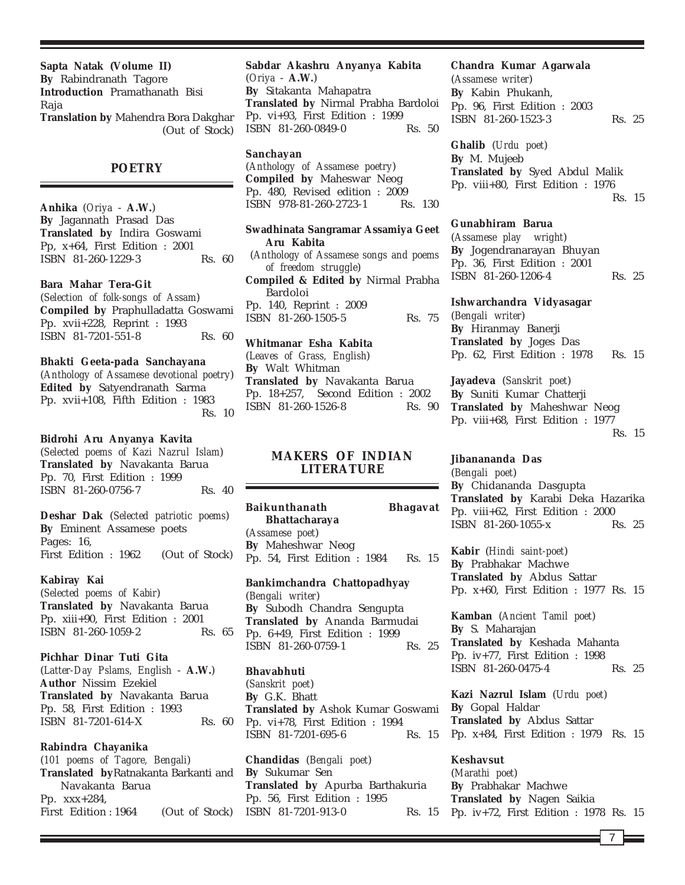**Sapta Natak (Volume II) By** Rabindranath Tagore **Introduction** Pramathanath Bisi Raja **Translation by** Mahendra Bora Dakghar (Out of Stock)

**POETRY**

**Anhika** (*Oriya* - **A.W.**) **By** Jagannath Prasad Das **Translated by** Indira Goswami Pp, x+64, First Edition : 2001 ISBN 81-260-1229-3 Rs. 60

#### **Bara Mahar Tera-Git**

(*Selection of folk-songs of Assam*) **Compiled by** Praphulladatta Goswami Pp. xvii+228, Reprint : 1993 ISBN 81-7201-551-8 Rs. 60

#### **Bhakti Geeta-pada Sanchayana**

(*Anthology of Assamese devotional poetry*) **Edited by** Satyendranath Sarma Pp. xvii+108, Fifth Edition : 1983 Rs. 10

#### **Bidrohi Aru Anyanya Kavita**

(*Selected poems of Kazi Nazrul Islam*) **Translated by** Navakanta Barua Pp. 70, First Edition : 1999 ISBN 81-260-0756-7 Rs. 40

**Deshar Dak** (*Selected patriotic poems*) **By** Eminent Assamese poets Pages: 16, First Edition : 1962 (Out of Stock)

#### **Kabiray Kai**

(*Selected poems of Kabir*) **Translated by** Navakanta Barua Pp. xiii+90, First Edition : 2001 ISBN 81-260-1059-2 Rs. 65

**Pichhar Dinar Tuti Gita** (*Latter-Day Pslams, English* - **A.W.**) **Author** Nissim Ezekiel **Translated by** Navakanta Barua Pp. 58, First Edition : 1993 ISBN 81-7201-614-X Rs. 60

### **Rabindra Chayanika**

(*101 poems of Tagore, Bengali*) **Translated by**Ratnakanta Barkanti and Navakanta Barua Pp. xxx+284, First Edition : 1964 (Out of Stock)

**Sabdar Akashru Anyanya Kabita** (*Oriya* - **A.W.**) **By** Sitakanta Mahapatra **Translated by** Nirmal Prabha Bardoloi Pp. vi+93, First Edition : 1999 ISBN 81-260-0849-0 Rs. 50

# **Sanchayan**

(*Anthology of Assamese poetry*) **Compiled by** Maheswar Neog Pp. 480, Revised edition : 2009 ISBN 978-81-260-2723-1 Rs. 130

**Swadhinata Sangramar Assamiya Geet Aru Kabita** (*Anthology of Assamese songs and poems of freedom struggle*) **Compiled & Edited by** Nirmal Prabha Bardoloi Pp. 140, Reprint : 2009 ISBN 81-260-1505-5 Rs. 75

**Whitmanar Esha Kabita** (*Leaves of Grass, English*) **By** Walt Whitman **Translated by** Navakanta Barua Pp. 18+257, Second Edition : 2002 ISBN 81-260-1526-8 Rs. 90

# **MAKERS OF INDIAN LITERATURE**

**Baikunthanath Bhagavat Bhattacharaya** (*Assamese poet*) **By** Maheshwar Neog Pp. 54, First Edition : 1984 Rs. 15

**Bankimchandra Chattopadhyay** (*Bengali writer*) **By** Subodh Chandra Sengupta **Translated by** Ananda Barmudai Pp. 6+49, First Edition : 1999 ISBN 81-260-0759-1 Rs. 25

#### **Bhavabhuti**

(*Sanskrit poet*) **By** G.K. Bhatt **Translated by** Ashok Kumar Goswami Pp. vi+78, First Edition : 1994 ISBN 81-7201-695-6 Rs. 15

**Chandidas** (*Bengali poet*) **By** Sukumar Sen **Translated by** Apurba Barthakuria Pp. 56, First Edition : 1995 ISBN 81-7201-913-0 Rs. 15

#### **Chandra Kumar Agarwala**

(*Assamese writer*) **By** Kabin Phukanh, Pp. 96, First Edition : 2003 ISBN 81-260-1523-3 Rs. 25

**Ghalib** (*Urdu poet*) **By** M. Mujeeb **Translated by** Syed Abdul Malik Pp. viii+80, First Edition : 1976 Rs. 15

#### **Gunabhiram Barua**

(*Assamese play wright*) **By** Jogendranarayan Bhuyan Pp. 36, First Edition : 2001 ISBN 81-260-1206-4 Rs. 25

**Ishwarchandra Vidyasagar** (*Bengali writer*) **By** Hiranmay Banerji **Translated by** Joges Das Pp. 62, First Edition : 1978 Rs. 15

**Jayadeva** (*Sanskrit poet*) **By** Suniti Kumar Chatterji **Translated by** Maheshwar Neog Pp. viii+68, First Edition : 1977 Rs. 15

**Jibanananda Das** (*Bengali poet*) **By** Chidananda Dasgupta **Translated by** Karabi Deka Hazarika Pp. viii+62, First Edition : 2000 ISBN 81-260-1055-x Rs. 25

**Kabir** (*Hindi saint-poet*) **By** Prabhakar Machwe **Translated by** Abdus Sattar Pp. x+60, First Edition : 1977 Rs. 15

**Kamban** (*Ancient Tamil poet*) **By** S. Maharajan **Translated by** Keshada Mahanta Pp. iv+77, First Edition : 1998 ISBN 81-260-0475-4 Rs. 25

**Kazi Nazrul Islam** (*Urdu poet*) **By** Gopal Haldar **Translated by** Abdus Sattar Pp. x+84, First Edition : 1979 Rs. 15

**Keshavsut** (*Marathi poet*) **By** Prabhakar Machwe **Translated by** Nagen Saikia Pp. iv+72, First Edition : 1978 Rs. 15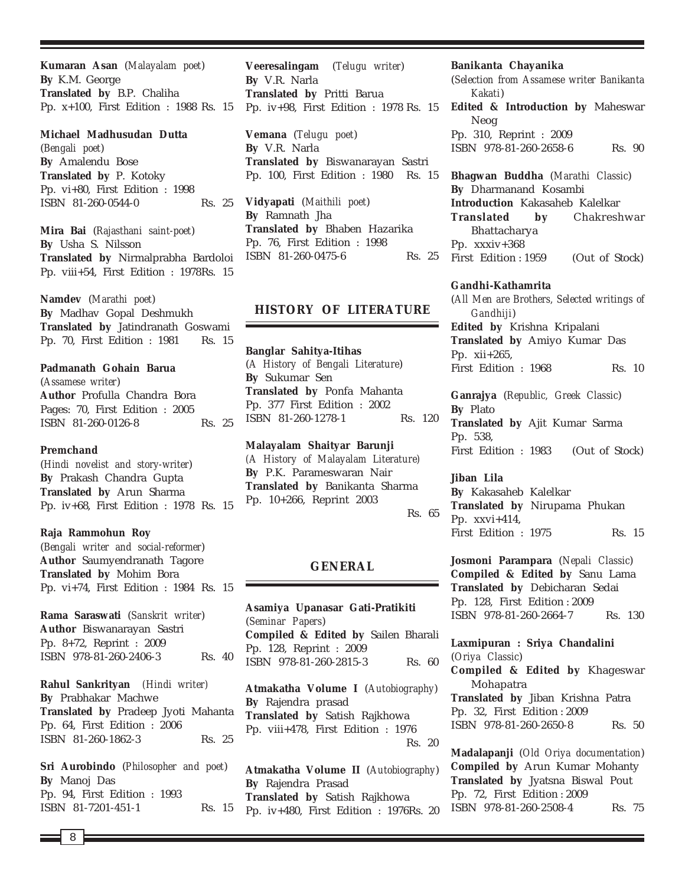**Kumaran Asan** (*Malayalam poet*) **By** K.M. George **Translated by** B.P. Chaliha Pp. x+100, First Edition : 1988 Rs. 15

#### **Michael Madhusudan Dutta**

(*Bengali poet*) **By** Amalendu Bose **Translated by** P. Kotoky Pp. vi+80, First Edition : 1998 ISBN 81-260-0544-0 Rs. 25

**Mira Bai** (*Rajasthani saint-poet*) **By** Usha S. Nilsson **Translated by** Nirmalprabha Bardoloi Pp. viii+54, First Edition : 1978Rs. 15

**Namdev** (*Marathi poet*) **By** Madhav Gopal Deshmukh **Translated by** Jatindranath Goswami Pp. 70, First Edition : 1981 Rs. 15

### **Padmanath Gohain Barua**

(*Assamese writer*) **Author** Profulla Chandra Bora Pages: 70, First Edition : 2005 ISBN 81-260-0126-8 Rs. 25

### **Premchand**

(*Hindi novelist and story-writer*) **By** Prakash Chandra Gupta **Translated by** Arun Sharma Pp. iv+68, First Edition : 1978 Rs. 15

#### **Raja Rammohun Roy**

(*Bengali writer and social-reformer*) **Author** Saumyendranath Tagore **Translated by** Mohim Bora Pp. vi+74, First Edition : 1984 Rs. 15

**Rama Saraswati** (*Sanskrit writer*) **Author** Biswanarayan Sastri Pp. 8+72, Reprint : 2009 ISBN 978-81-260-2406-3 Rs. 40

**Rahul Sankrityan** *(Hindi writer)* **By** Prabhakar Machwe **Translated by** Pradeep Jyoti Mahanta Pp. 64, First Edition : 2006 ISBN 81-260-1862-3 Rs. 25

**Sri Aurobindo** (*Philosopher and poet*) **By** Manoj Das Pp. 94, First Edition : 1993 ISBN 81-7201-451-1 Rs. 15

**Veeresalingam** (*Telugu writer*) **By** V.R. Narla **Translated by** Pritti Barua Pp. iv+98, First Edition : 1978 Rs. 15

**Vemana** (*Telugu poet*) **By** V.R. Narla **Translated by** Biswanarayan Sastri Pp. 100, First Edition : 1980 Rs. 15

**Vidyapati** (*Maithili poet*) **By** Ramnath Jha **Translated by** Bhaben Hazarika Pp. 76, First Edition : 1998 ISBN 81-260-0475-6 Rs. 25

### **HISTORY OF LITERATURE**

**Banglar Sahitya-Itihas** (*A History of Bengali Literature*) **By** Sukumar Sen **Translated by** Ponfa Mahanta Pp. 377 First Edition : 2002 ISBN 81-260-1278-1 Rs. 120

**Malayalam Shaityar Barunji** *(A History of Malayalam Literature)* **By** P.K. Parameswaran Nair **Translated by** Banikanta Sharma Pp. 10+266, Reprint 2003 Rs. 65

### **GENERAL**

**Asamiya Upanasar Gati-Pratikiti** (*Seminar Papers*) **Compiled & Edited by** Sailen Bharali Pp. 128, Reprint : 2009 ISBN 978-81-260-2815-3 Rs. 60

**Atmakatha Volume I** (*Autobiography*) **By** Rajendra prasad **Translated by** Satish Rajkhowa Pp. viii+478, First Edition : 1976 Rs. 20

**Atmakatha Volume II** (*Autobiography*) **By** Rajendra Prasad **Translated by** Satish Rajkhowa Pp. iv+480, First Edition : 1976Rs. 20

#### **Banikanta Chayanika**

(*Selection from Assamese writer Banikanta Kakati*) **Edited & Introduction by** Maheswar Neog Pp. 310, Reprint : 2009 ISBN 978-81-260-2658-6 Rs. 90

**Bhagwan Buddha** (*Marathi Classic*) **By** Dharmanand Kosambi **Introduction** Kakasaheb Kalelkar **Translated by** Chakreshwar Bhattacharya Pp. xxxiv+368 First Edition : 1959 (Out of Stock)

### **Gandhi-Kathamrita**

(*All Men are Brothers, Selected writings of Gandhiji*) **Edited by** Krishna Kripalani **Translated by** Amiyo Kumar Das Pp. xii+265, First Edition : 1968 Rs. 10

**Ganrajya** (*Republic, Greek Classic*) **By** Plato **Translated by** Ajit Kumar Sarma Pp. 538, First Edition : 1983 (Out of Stock)

**Jiban Lila By** Kakasaheb Kalelkar **Translated by** Nirupama Phukan Pp. xxvi+414, First Edition : 1975 Rs. 15

**Josmoni Parampara** (*Nepali Classic*) **Compiled & Edited by** Sanu Lama **Translated by** Debicharan Sedai Pp. 128, First Edition : 2009 ISBN 978-81-260-2664-7 Rs. 130

**Laxmipuran : Sriya Chandalini** (*Oriya Classic*) **Compiled & Edited by** Khageswar Mohapatra **Translated by** Jiban Krishna Patra Pp. 32, First Edition : 2009 ISBN 978-81-260-2650-8 Rs. 50

**Madalapanji** (*Old Oriya documentation*) **Compiled by** Arun Kumar Mohanty **Translated by** Jyatsna Biswal Pout Pp. 72, First Edition : 2009 ISBN 978-81-260-2508-4 Rs. 75